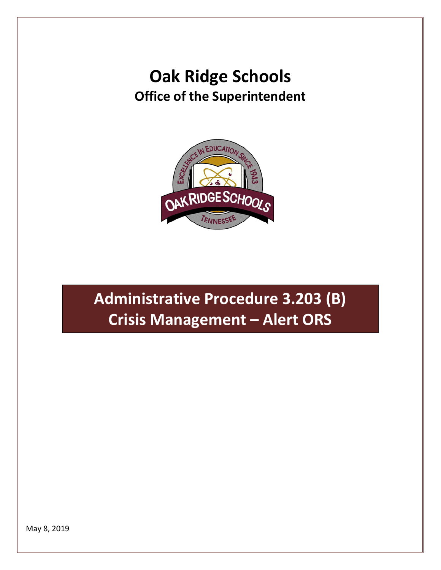## **Oak Ridge Schools Office of the Superintendent**



**Administrative Procedure 3.203 (B) Crisis Management – Alert ORS**

May 8, 2019